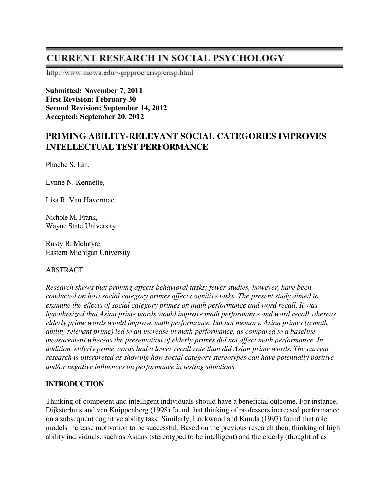# **CURRENT RESEARCH IN SOCIAL PSYCHOLOGY**

http://www.uiowa.edu/~grpproc/crisp/crisp.html

**Submitted: November 7, 2011 First Revision: February 30 Second Revision: September 14, 2012 Accepted: September 20, 2012** 

# **PRIMING ABILITY-RELEVANT SOCIAL CATEGORIES IMPROVES INTELLECTUAL TEST PERFORMANCE**

Phoebe S. Lin,

Lynne N. Kennette,

Lisa R. Van Havermaet

Nichole M. Frank, Wayne State University

Rusty B. McIntyre Eastern Michigan University

### ABSTRACT

*Research shows that priming affects behavioral tasks; fewer studies, however, have been conducted on how social category primes affect cognitive tasks. The present study aimed to examine the effects of social category primes on math performance and word recall. It was hypothesized that Asian prime words would improve math performance and word recall whereas elderly prime words would improve math performance, but not memory. Asian primes (a math ability-relevant prime) led to an increase in math performance, as compared to a baseline measurement whereas the presentation of elderly primes did not affect math performance. In addition, elderly prime words had a lower recall rate than did Asian prime words. The current research is interpreted as showing how social category stereotypes can have potentially positive and/or negative influences on performance in testing situations.* 

# **INTRODUCTION**

Thinking of competent and intelligent individuals should have a beneficial outcome. For instance, Dijksterhuis and van Knippenberg (1998) found that thinking of professors increased performance on a subsequent cognitive ability task. Similarly, Lockwood and Kunda (1997) found that role models increase motivation to be successful. Based on the previous research then, thinking of high ability individuals, such as Asians (stereotyped to be intelligent) and the elderly (thought of as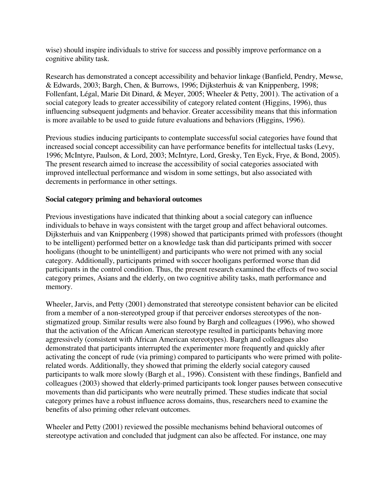wise) should inspire individuals to strive for success and possibly improve performance on a cognitive ability task.

Research has demonstrated a concept accessibility and behavior linkage (Banfield, Pendry, Mewse, & Edwards, 2003; Bargh, Chen, & Burrows, 1996; Dijksterhuis & van Knippenberg, 1998; Follenfant, Légal, Marie Dit Dinard, & Meyer, 2005; Wheeler & Petty, 2001). The activation of a social category leads to greater accessibility of category related content (Higgins, 1996), thus influencing subsequent judgments and behavior. Greater accessibility means that this information is more available to be used to guide future evaluations and behaviors (Higgins, 1996).

Previous studies inducing participants to contemplate successful social categories have found that increased social concept accessibility can have performance benefits for intellectual tasks (Levy, 1996; McIntyre, Paulson, & Lord, 2003; McIntyre, Lord, Gresky, Ten Eyck, Frye, & Bond, 2005). The present research aimed to increase the accessibility of social categories associated with improved intellectual performance and wisdom in some settings, but also associated with decrements in performance in other settings.

## **Social category priming and behavioral outcomes**

Previous investigations have indicated that thinking about a social category can influence individuals to behave in ways consistent with the target group and affect behavioral outcomes. Dijksterhuis and van Knippenberg (1998) showed that participants primed with professors (thought to be intelligent) performed better on a knowledge task than did participants primed with soccer hooligans (thought to be unintelligent) and participants who were not primed with any social category. Additionally, participants primed with soccer hooligans performed worse than did participants in the control condition. Thus, the present research examined the effects of two social category primes, Asians and the elderly, on two cognitive ability tasks, math performance and memory.

Wheeler, Jarvis, and Petty (2001) demonstrated that stereotype consistent behavior can be elicited from a member of a non-stereotyped group if that perceiver endorses stereotypes of the nonstigmatized group. Similar results were also found by Bargh and colleagues (1996), who showed that the activation of the African American stereotype resulted in participants behaving more aggressively (consistent with African American stereotypes). Bargh and colleagues also demonstrated that participants interrupted the experimenter more frequently and quickly after activating the concept of rude (via priming) compared to participants who were primed with politerelated words. Additionally, they showed that priming the elderly social category caused participants to walk more slowly (Bargh et al., 1996). Consistent with these findings, Banfield and colleagues (2003) showed that elderly-primed participants took longer pauses between consecutive movements than did participants who were neutrally primed. These studies indicate that social category primes have a robust influence across domains, thus, researchers need to examine the benefits of also priming other relevant outcomes.

Wheeler and Petty (2001) reviewed the possible mechanisms behind behavioral outcomes of stereotype activation and concluded that judgment can also be affected. For instance, one may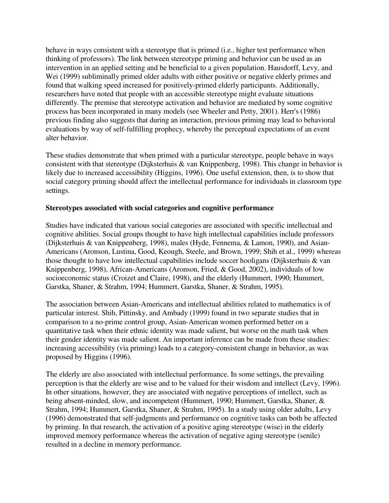behave in ways consistent with a stereotype that is primed (i.e., higher test performance when thinking of professors). The link between stereotype priming and behavior can be used as an intervention in an applied setting and be beneficial to a given population. Hausdorff, Levy, and Wei (1999) subliminally primed older adults with either positive or negative elderly primes and found that walking speed increased for positively-primed elderly participants. Additionally, researchers have noted that people with an accessible stereotype might evaluate situations differently. The premise that stereotype activation and behavior are mediated by some cognitive process has been incorporated in many models (see Wheeler and Petty, 2001). Herr's (1986) previous finding also suggests that during an interaction, previous priming may lead to behavioral evaluations by way of self-fulfilling prophecy, whereby the perceptual expectations of an event alter behavior.

These studies demonstrate that when primed with a particular stereotype, people behave in ways consistent with that stereotype (Dijksterhuis & van Knippenberg, 1998). This change in behavior is likely due to increased accessibility (Higgins, 1996). One useful extension, then, is to show that social category priming should affect the intellectual performance for individuals in classroom type settings.

### **Stereotypes associated with social categories and cognitive performance**

Studies have indicated that various social categories are associated with specific intellectual and cognitive abilities. Social groups thought to have high intellectual capabilities include professors (Dijksterhuis & van Knippenberg, 1998), males (Hyde, Fennema, & Lamon, 1990), and Asian-Americans (Aronson, Lustina, Good, Keough, Steele, and Brown, 1999; Shih et al., 1999) whereas those thought to have low intellectual capabilities include soccer hooligans (Dijksterhuis & van Knippenberg, 1998), African-Americans (Aronson, Fried, & Good, 2002), individuals of low socioeconomic status (Croizet and Claire, 1998), and the elderly (Hummert, 1990; Hummert, Garstka, Shaner, & Strahm, 1994; Hummert, Garstka, Shaner, & Strahm, 1995).

The association between Asian-Americans and intellectual abilities related to mathematics is of particular interest. Shih, Pittinsky, and Ambady (1999) found in two separate studies that in comparison to a no-prime control group, Asian-American women performed better on a quantitative task when their ethnic identity was made salient, but worse on the math task when their gender identity was made salient. An important inference can be made from these studies: increasing accessibility (via priming) leads to a category-consistent change in behavior, as was proposed by Higgins (1996).

The elderly are also associated with intellectual performance. In some settings, the prevailing perception is that the elderly are wise and to be valued for their wisdom and intellect (Levy, 1996). In other situations, however, they are associated with negative perceptions of intellect, such as being absent-minded, slow, and incompetent (Hummert, 1990; Hummert, Garstka, Shaner, & Strahm, 1994; Hummert, Garstka, Shaner, & Strahm, 1995). In a study using older adults, Levy (1996) demonstrated that self-judgments and performance on cognitive tasks can both be affected by priming. In that research, the activation of a positive aging stereotype (wise) in the elderly improved memory performance whereas the activation of negative aging stereotype (senile) resulted in a decline in memory performance.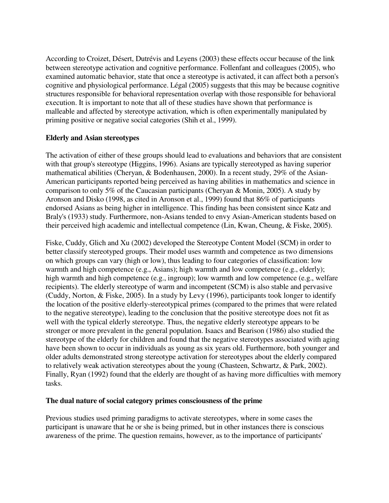According to Croizet, Désert, Dutrévis and Leyens (2003) these effects occur because of the link between stereotype activation and cognitive performance. Follenfant and colleagues (2005), who examined automatic behavior, state that once a stereotype is activated, it can affect both a person's cognitive and physiological performance. Légal (2005) suggests that this may be because cognitive structures responsible for behavioral representation overlap with those responsible for behavioral execution. It is important to note that all of these studies have shown that performance is malleable and affected by stereotype activation, which is often experimentally manipulated by priming positive or negative social categories (Shih et al., 1999).

## **Elderly and Asian stereotypes**

The activation of either of these groups should lead to evaluations and behaviors that are consistent with that group's stereotype (Higgins, 1996). Asians are typically stereotyped as having superior mathematical abilities (Cheryan, & Bodenhausen, 2000). In a recent study, 29% of the Asian-American participants reported being perceived as having abilities in mathematics and science in comparison to only 5% of the Caucasian participants (Cheryan & Monin, 2005). A study by Aronson and Disko (1998, as cited in Aronson et al., 1999) found that 86% of participants endorsed Asians as being higher in intelligence. This finding has been consistent since Katz and Braly's (1933) study. Furthermore, non-Asians tended to envy Asian-American students based on their perceived high academic and intellectual competence (Lin, Kwan, Cheung, & Fiske, 2005).

Fiske, Cuddy, Glich and Xu (2002) developed the Stereotype Content Model (SCM) in order to better classify stereotyped groups. Their model uses warmth and competence as two dimensions on which groups can vary (high or low), thus leading to four categories of classification: low warmth and high competence (e.g., Asians); high warmth and low competence (e.g., elderly); high warmth and high competence (e.g., ingroup); low warmth and low competence (e.g., welfare recipients). The elderly stereotype of warm and incompetent (SCM) is also stable and pervasive (Cuddy, Norton, & Fiske, 2005). In a study by Levy (1996), participants took longer to identify the location of the positive elderly-stereotypical primes (compared to the primes that were related to the negative stereotype), leading to the conclusion that the positive stereotype does not fit as well with the typical elderly stereotype. Thus, the negative elderly stereotype appears to be stronger or more prevalent in the general population. Isaacs and Bearison (1986) also studied the stereotype of the elderly for children and found that the negative stereotypes associated with aging have been shown to occur in individuals as young as six years old. Furthermore, both younger and older adults demonstrated strong stereotype activation for stereotypes about the elderly compared to relatively weak activation stereotypes about the young (Chasteen, Schwartz, & Park, 2002). Finally, Ryan (1992) found that the elderly are thought of as having more difficulties with memory tasks.

### **The dual nature of social category primes consciousness of the prime**

Previous studies used priming paradigms to activate stereotypes, where in some cases the participant is unaware that he or she is being primed, but in other instances there is conscious awareness of the prime. The question remains, however, as to the importance of participants'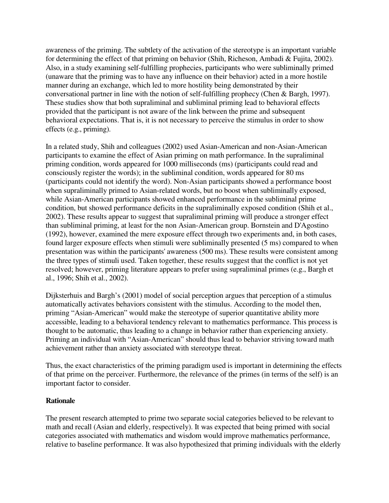awareness of the priming. The subtlety of the activation of the stereotype is an important variable for determining the effect of that priming on behavior (Shih, Richeson, Ambadi & Fujita, 2002). Also, in a study examining self-fulfilling prophecies, participants who were subliminally primed (unaware that the priming was to have any influence on their behavior) acted in a more hostile manner during an exchange, which led to more hostility being demonstrated by their conversational partner in line with the notion of self-fulfilling prophecy (Chen & Bargh, 1997). These studies show that both supraliminal and subliminal priming lead to behavioral effects provided that the participant is not aware of the link between the prime and subsequent behavioral expectations. That is, it is not necessary to perceive the stimulus in order to show effects (e.g., priming).

In a related study, Shih and colleagues (2002) used Asian-American and non-Asian-American participants to examine the effect of Asian priming on math performance. In the supraliminal priming condition, words appeared for 1000 milliseconds (ms) (participants could read and consciously register the words); in the subliminal condition, words appeared for 80 ms (participants could not identify the word). Non-Asian participants showed a performance boost when supraliminally primed to Asian-related words, but no boost when subliminally exposed, while Asian-American participants showed enhanced performance in the subliminal prime condition, but showed performance deficits in the supraliminally exposed condition (Shih et al., 2002). These results appear to suggest that supraliminal priming will produce a stronger effect than subliminal priming, at least for the non Asian-American group. Bornstein and D'Agostino (1992), however, examined the mere exposure effect through two experiments and, in both cases, found larger exposure effects when stimuli were subliminally presented (5 ms) compared to when presentation was within the participants' awareness (500 ms). These results were consistent among the three types of stimuli used. Taken together, these results suggest that the conflict is not yet resolved; however, priming literature appears to prefer using supraliminal primes (e.g., Bargh et al., 1996; Shih et al., 2002).

Dijksterhuis and Bargh's (2001) model of social perception argues that perception of a stimulus automatically activates behaviors consistent with the stimulus. According to the model then, priming "Asian-American" would make the stereotype of superior quantitative ability more accessible, leading to a behavioral tendency relevant to mathematics performance. This process is thought to be automatic, thus leading to a change in behavior rather than experiencing anxiety. Priming an individual with "Asian-American" should thus lead to behavior striving toward math achievement rather than anxiety associated with stereotype threat.

Thus, the exact characteristics of the priming paradigm used is important in determining the effects of that prime on the perceiver. Furthermore, the relevance of the primes (in terms of the self) is an important factor to consider.

### **Rationale**

The present research attempted to prime two separate social categories believed to be relevant to math and recall (Asian and elderly, respectively). It was expected that being primed with social categories associated with mathematics and wisdom would improve mathematics performance, relative to baseline performance. It was also hypothesized that priming individuals with the elderly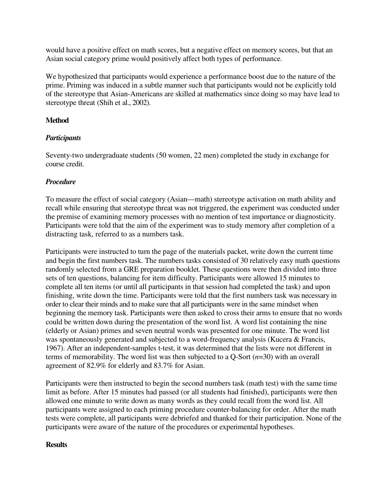would have a positive effect on math scores, but a negative effect on memory scores, but that an Asian social category prime would positively affect both types of performance.

We hypothesized that participants would experience a performance boost due to the nature of the prime. Priming was induced in a subtle manner such that participants would not be explicitly told of the stereotype that Asian-Americans are skilled at mathematics since doing so may have lead to stereotype threat (Shih et al., 2002).

# **Method**

# *Participants*

Seventy-two undergraduate students (50 women, 22 men) completed the study in exchange for course credit.

# *Procedure*

To measure the effect of social category (Asian—math) stereotype activation on math ability and recall while ensuring that stereotype threat was not triggered, the experiment was conducted under the premise of examining memory processes with no mention of test importance or diagnosticity. Participants were told that the aim of the experiment was to study memory after completion of a distracting task, referred to as a numbers task.

Participants were instructed to turn the page of the materials packet, write down the current time and begin the first numbers task. The numbers tasks consisted of 30 relatively easy math questions randomly selected from a GRE preparation booklet. These questions were then divided into three sets of ten questions, balancing for item difficulty. Participants were allowed 15 minutes to complete all ten items (or until all participants in that session had completed the task) and upon finishing, write down the time. Participants were told that the first numbers task was necessary in order to clear their minds and to make sure that all participants were in the same mindset when beginning the memory task. Participants were then asked to cross their arms to ensure that no words could be written down during the presentation of the word list. A word list containing the nine (elderly or Asian) primes and seven neutral words was presented for one minute. The word list was spontaneously generated and subjected to a word-frequency analysis (Kucera & Francis, 1967). After an independent-samples t-test, it was determined that the lists were not different in terms of memorability. The word list was then subjected to a Q-Sort (*n*=30) with an overall agreement of 82.9% for elderly and 83.7% for Asian.

Participants were then instructed to begin the second numbers task (math test) with the same time limit as before. After 15 minutes had passed (or all students had finished), participants were then allowed one minute to write down as many words as they could recall from the word list. All participants were assigned to each priming procedure counter-balancing for order. After the math tests were complete, all participants were debriefed and thanked for their participation. None of the participants were aware of the nature of the procedures or experimental hypotheses.

# **Results**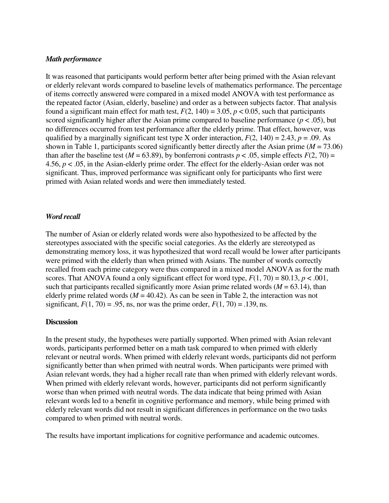#### *Math performance*

It was reasoned that participants would perform better after being primed with the Asian relevant or elderly relevant words compared to baseline levels of mathematics performance. The percentage of items correctly answered were compared in a mixed model ANOVA with test performance as the repeated factor (Asian, elderly, baseline) and order as a between subjects factor. That analysis found a significant main effect for math test,  $F(2, 140) = 3.05$ ,  $p < 0.05$ , such that participants scored significantly higher after the Asian prime compared to baseline performance ( $p < .05$ ), but no differences occurred from test performance after the elderly prime. That effect, however, was qualified by a marginally significant test type X order interaction,  $F(2, 140) = 2.43$ ,  $p = .09$ . As shown in Table 1, participants scored significantly better directly after the Asian prime  $(M = 73.06)$ than after the baseline test ( $M = 63.89$ ), by bonferroni contrasts  $p < .05$ , simple effects  $F(2, 70) =$ 4.56, *p* < .05, in the Asian-elderly prime order. The effect for the elderly-Asian order was not significant. Thus, improved performance was significant only for participants who first were primed with Asian related words and were then immediately tested.

#### *Word recall*

The number of Asian or elderly related words were also hypothesized to be affected by the stereotypes associated with the specific social categories. As the elderly are stereotyped as demonstrating memory loss, it was hypothesized that word recall would be lower after participants were primed with the elderly than when primed with Asians. The number of words correctly recalled from each prime category were thus compared in a mixed model ANOVA as for the math scores. That ANOVA found a only significant effect for word type,  $F(1, 70) = 80.13$ ,  $p < .001$ , such that participants recalled significantly more Asian prime related words  $(M = 63.14)$ , than elderly prime related words  $(M = 40.42)$ . As can be seen in Table 2, the interaction was not significant,  $F(1, 70) = .95$ , ns, nor was the prime order,  $F(1, 70) = .139$ , ns.

#### **Discussion**

In the present study, the hypotheses were partially supported. When primed with Asian relevant words, participants performed better on a math task compared to when primed with elderly relevant or neutral words. When primed with elderly relevant words, participants did not perform significantly better than when primed with neutral words. When participants were primed with Asian relevant words, they had a higher recall rate than when primed with elderly relevant words. When primed with elderly relevant words, however, participants did not perform significantly worse than when primed with neutral words. The data indicate that being primed with Asian relevant words led to a benefit in cognitive performance and memory, while being primed with elderly relevant words did not result in significant differences in performance on the two tasks compared to when primed with neutral words.

The results have important implications for cognitive performance and academic outcomes.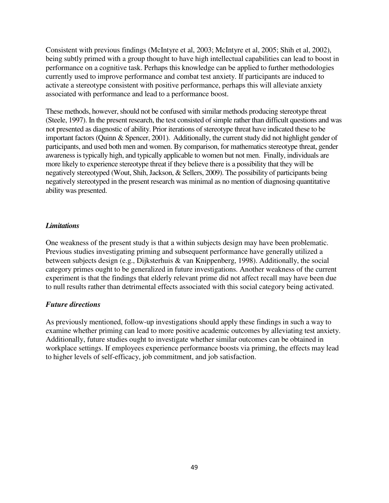Consistent with previous findings (McIntyre et al, 2003; McIntyre et al, 2005; Shih et al, 2002), being subtly primed with a group thought to have high intellectual capabilities can lead to boost in performance on a cognitive task. Perhaps this knowledge can be applied to further methodologies currently used to improve performance and combat test anxiety. If participants are induced to activate a stereotype consistent with positive performance, perhaps this will alleviate anxiety associated with performance and lead to a performance boost.

These methods, however, should not be confused with similar methods producing stereotype threat (Steele, 1997). In the present research, the test consisted of simple rather than difficult questions and was not presented as diagnostic of ability. Prior iterations of stereotype threat have indicated these to be important factors (Quinn & Spencer, 2001). Additionally, the current study did not highlight gender of participants, and used both men and women. By comparison, for mathematics stereotype threat, gender awareness is typically high, and typically applicable to women but not men. Finally, individuals are more likely to experience stereotype threat if they believe there is a possibility that they will be negatively stereotyped (Wout, Shih, Jackson, & Sellers, 2009). The possibility of participants being negatively stereotyped in the present research was minimal as no mention of diagnosing quantitative ability was presented.

## *Limitations*

One weakness of the present study is that a within subjects design may have been problematic. Previous studies investigating priming and subsequent performance have generally utilized a between subjects design (e.g., Dijksterhuis & van Knippenberg, 1998). Additionally, the social category primes ought to be generalized in future investigations. Another weakness of the current experiment is that the findings that elderly relevant prime did not affect recall may have been due to null results rather than detrimental effects associated with this social category being activated.

### *Future directions*

As previously mentioned, follow-up investigations should apply these findings in such a way to examine whether priming can lead to more positive academic outcomes by alleviating test anxiety. Additionally, future studies ought to investigate whether similar outcomes can be obtained in workplace settings. If employees experience performance boosts via priming, the effects may lead to higher levels of self-efficacy, job commitment, and job satisfaction.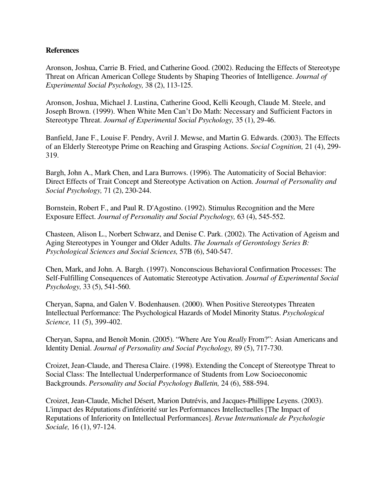### **References**

Aronson, Joshua, Carrie B. Fried, and Catherine Good. (2002). Reducing the Effects of Stereotype Threat on African American College Students by Shaping Theories of Intelligence. *Journal of Experimental Social Psychology,* 38 (2), 113-125.

Aronson, Joshua, Michael J. Lustina, Catherine Good, Kelli Keough, Claude M. Steele, and Joseph Brown. (1999). When White Men Can't Do Math: Necessary and Sufficient Factors in Stereotype Threat. *Journal of Experimental Social Psychology,* 35 (1), 29-46.

Banfield, Jane F., Louise F. Pendry, Avril J. Mewse, and Martin G. Edwards. (2003). The Effects of an Elderly Stereotype Prime on Reaching and Grasping Actions. *Social Cognition,* 21 (4), 299- 319.

Bargh, John A., Mark Chen, and Lara Burrows. (1996). The Automaticity of Social Behavior: Direct Effects of Trait Concept and Stereotype Activation on Action. *Journal of Personality and Social Psychology,* 71 (2), 230-244.

Bornstein, Robert F., and Paul R. D'Agostino. (1992). Stimulus Recognition and the Mere Exposure Effect. *Journal of Personality and Social Psychology,* 63 (4), 545-552.

Chasteen, Alison L., Norbert Schwarz, and Denise C. Park. (2002). The Activation of Ageism and Aging Stereotypes in Younger and Older Adults. *The Journals of Gerontology Series B: Psychological Sciences and Social Sciences,* 57B (6), 540-547.

Chen, Mark, and John. A. Bargh. (1997). Nonconscious Behavioral Confirmation Processes: The Self-Fulfilling Consequences of Automatic Stereotype Activation. *Journal of Experimental Social Psychology,* 33 (5), 541-560.

Cheryan, Sapna, and Galen V. Bodenhausen. (2000). When Positive Stereotypes Threaten Intellectual Performance: The Psychological Hazards of Model Minority Status. *Psychological Science,* 11 (5), 399-402.

Cheryan, Sapna, and Benoît Monin. (2005). "Where Are You *Really* From?": Asian Americans and Identity Denial. *Journal of Personality and Social Psychology,* 89 (5), 717-730.

Croizet, Jean-Claude, and Theresa Claire. (1998). Extending the Concept of Stereotype Threat to Social Class: The Intellectual Underperformance of Students from Low Socioeconomic Backgrounds. *Personality and Social Psychology Bulletin,* 24 (6), 588-594.

Croizet, Jean-Claude, Michel Désert, Marion Dutrévis, and Jacques-Phillippe Leyens. (2003). L'impact des Réputations d'infériorité sur les Performances Intellectuelles [The Impact of Reputations of Inferiority on Intellectual Performances]. *Revue Internationale de Psychologie Sociale,* 16 (1), 97-124.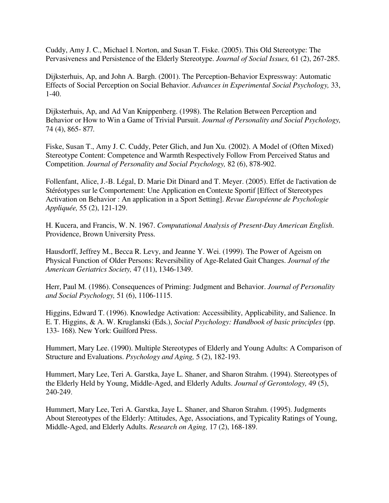Cuddy, Amy J. C., Michael I. Norton, and Susan T. Fiske. (2005). This Old Stereotype: The Pervasiveness and Persistence of the Elderly Stereotype. *Journal of Social Issues,* 61 (2), 267-285.

Dijksterhuis, Ap, and John A. Bargh. (2001). The Perception-Behavior Expressway: Automatic Effects of Social Perception on Social Behavior. *Advances in Experimental Social Psychology,* 33, 1-40.

Dijksterhuis, Ap, and Ad Van Knippenberg. (1998). The Relation Between Perception and Behavior or How to Win a Game of Trivial Pursuit. *Journal of Personality and Social Psychology,*  74 (4), 865- 877.

Fiske, Susan T., Amy J. C. Cuddy, Peter Glich, and Jun Xu. (2002). A Model of (Often Mixed) Stereotype Content: Competence and Warmth Respectively Follow From Perceived Status and Competition. *Journal of Personality and Social Psychology,* 82 (6), 878-902.

Follenfant, Alice, J.-B. Légal, D. Marie Dit Dinard and T. Meyer. (2005). Effet de l'activation de Stéréotypes sur le Comportement: Une Application en Contexte Sportif [Effect of Stereotypes Activation on Behavior : An application in a Sport Setting]. *Revue Européenne de Psychologie Appliquée,* 55 (2), 121-129.

H. Kucera, and Francis, W. N. 1967. *Computational Analysis of Present-Day American English*. Providence, Brown University Press.

Hausdorff, Jeffrey M., Becca R. Levy, and Jeanne Y. Wei. (1999). The Power of Ageism on Physical Function of Older Persons: Reversibility of Age-Related Gait Changes. *Journal of the American Geriatrics Society,* 47 (11), 1346-1349.

Herr, Paul M. (1986). Consequences of Priming: Judgment and Behavior. *Journal of Personality and Social Psychology,* 51 (6), 1106-1115.

Higgins, Edward T. (1996). Knowledge Activation: Accessibility, Applicability, and Salience. In E. T. Higgins, & A. W. Kruglanski (Eds.), *Social Psychology: Handbook of basic principles* (pp. 133- 168). New York: Guilford Press.

Hummert, Mary Lee. (1990). Multiple Stereotypes of Elderly and Young Adults: A Comparison of Structure and Evaluations. *Psychology and Aging,* 5 (2), 182-193.

Hummert, Mary Lee, Teri A. Garstka, Jaye L. Shaner, and Sharon Strahm. (1994). Stereotypes of the Elderly Held by Young, Middle-Aged, and Elderly Adults. *Journal of Gerontology,* 49 (5), 240-249.

Hummert, Mary Lee, Teri A. Garstka, Jaye L. Shaner, and Sharon Strahm. (1995). Judgments About Stereotypes of the Elderly: Attitudes, Age, Associations, and Typicality Ratings of Young, Middle-Aged, and Elderly Adults. *Research on Aging,* 17 (2), 168-189.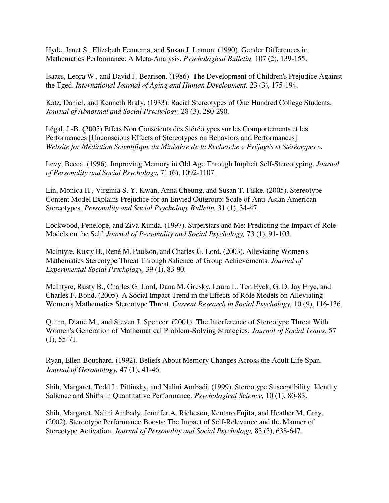Hyde, Janet S., Elizabeth Fennema, and Susan J. Lamon. (1990). Gender Differences in Mathematics Performance: A Meta-Analysis. *Psychological Bulletin,* 107 (2), 139-155.

Isaacs, Leora W., and David J. Bearison. (1986). The Development of Children's Prejudice Against the Tged. *International Journal of Aging and Human Development,* 23 (3), 175-194.

Katz, Daniel, and Kenneth Braly. (1933). Racial Stereotypes of One Hundred College Students. *Journal of Abnormal and Social Psychology,* 28 (3), 280-290.

Légal, J.-B. (2005) Effets Non Conscients des Stéréotypes sur les Comportements et les Performances [Unconscious Effects of Stereotypes on Behaviors and Performances]. *Website for Médiation Scientifique du Ministère de la Recherche « Préjugés et Stéréotypes ».* 

Levy, Becca. (1996). Improving Memory in Old Age Through Implicit Self-Stereotyping. *Journal of Personality and Social Psychology,* 71 (6), 1092-1107.

Lin, Monica H., Virginia S. Y. Kwan, Anna Cheung, and Susan T. Fiske. (2005). Stereotype Content Model Explains Prejudice for an Envied Outgroup: Scale of Anti-Asian American Stereotypes. *Personality and Social Psychology Bulletin,* 31 (1), 34-47.

Lockwood, Penelope, and Ziva Kunda. (1997). Superstars and Me: Predicting the Impact of Role Models on the Self. *Journal of Personality and Social Psychology,* 73 (1), 91-103.

McIntyre, Rusty B., René M. Paulson, and Charles G. Lord. (2003). Alleviating Women's Mathematics Stereotype Threat Through Salience of Group Achievements. *Journal of Experimental Social Psychology,* 39 (1), 83-90.

McIntyre, Rusty B., Charles G. Lord, Dana M. Gresky, Laura L. Ten Eyck, G. D. Jay Frye, and Charles F. Bond. (2005). A Social Impact Trend in the Effects of Role Models on Alleviating Women's Mathematics Stereotype Threat. *Current Research in Social Psychology,* 10 (9), 116-136.

Quinn, Diane M., and Steven J. Spencer. (2001). The Interference of Stereotype Threat With Women's Generation of Mathematical Problem-Solving Strategies. *Journal of Social Issues*, 57  $(1), 55-71.$ 

Ryan, Ellen Bouchard. (1992). Beliefs About Memory Changes Across the Adult Life Span. *Journal of Gerontology,* 47 (1), 41-46.

Shih, Margaret, Todd L. Pittinsky, and Nalini Ambadi. (1999). Stereotype Susceptibility: Identity Salience and Shifts in Quantitative Performance. *Psychological Science,* 10 (1), 80-83.

Shih, Margaret, Nalini Ambady, Jennifer A. Richeson, Kentaro Fujita, and Heather M. Gray. (2002). Stereotype Performance Boosts: The Impact of Self-Relevance and the Manner of Stereotype Activation. *Journal of Personality and Social Psychology,* 83 (3), 638-647.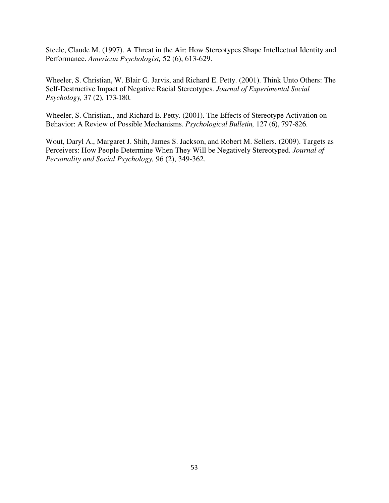Steele, Claude M. (1997). A Threat in the Air: How Stereotypes Shape Intellectual Identity and Performance. *American Psychologist,* 52 (6), 613-629.

Wheeler, S. Christian, W. Blair G. Jarvis, and Richard E. Petty. (2001). Think Unto Others: The Self-Destructive Impact of Negative Racial Stereotypes. *Journal of Experimental Social Psychology,* 37 (2), 173-180.

Wheeler, S. Christian., and Richard E. Petty. (2001). The Effects of Stereotype Activation on Behavior: A Review of Possible Mechanisms. *Psychological Bulletin,* 127 (6), 797-826.

Wout, Daryl A., Margaret J. Shih, James S. Jackson, and Robert M. Sellers. (2009). Targets as Perceivers: How People Determine When They Will be Negatively Stereotyped. *Journal of Personality and Social Psychology,* 96 (2), 349-362.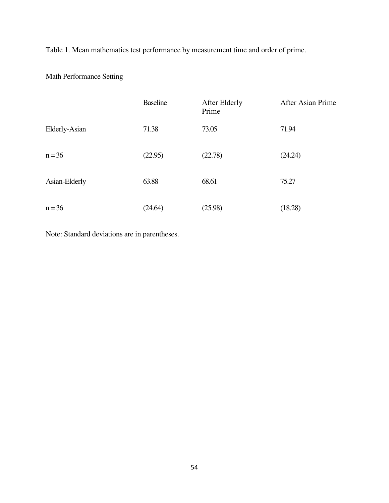Table 1. Mean mathematics test performance by measurement time and order of prime.

Math Performance Setting

|               | <b>Baseline</b> | After Elderly<br>Prime | After Asian Prime |
|---------------|-----------------|------------------------|-------------------|
| Elderly-Asian | 71.38           | 73.05                  | 71.94             |
| $n = 36$      | (22.95)         | (22.78)                | (24.24)           |
| Asian-Elderly | 63.88           | 68.61                  | 75.27             |
| $n = 36$      | (24.64)         | (25.98)                | (18.28)           |

Note: Standard deviations are in parentheses.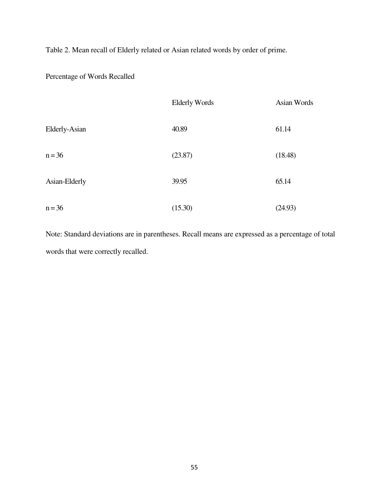Table 2. Mean recall of Elderly related or Asian related words by order of prime.

Percentage of Words Recalled

|               | <b>Elderly Words</b> | Asian Words |  |
|---------------|----------------------|-------------|--|
| Elderly-Asian | 40.89                | 61.14       |  |
| $n = 36$      | (23.87)              | (18.48)     |  |
| Asian-Elderly | 39.95                | 65.14       |  |
| $n = 36$      | (15.30)              | (24.93)     |  |

Note: Standard deviations are in parentheses. Recall means are expressed as a percentage of total words that were correctly recalled.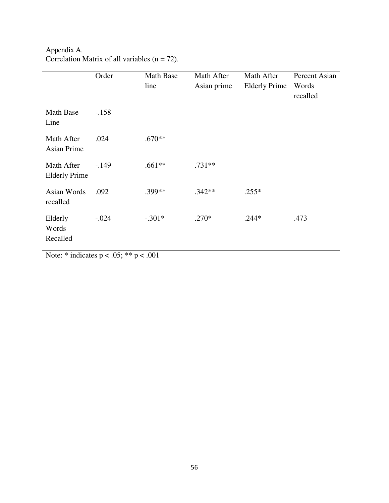Appendix A. Correlation Matrix of all variables  $(n = 72)$ .

|                                    | Order   | Math Base<br>line | Math After<br>Asian prime | Math After<br><b>Elderly Prime</b> | Percent Asian<br>Words<br>recalled |
|------------------------------------|---------|-------------------|---------------------------|------------------------------------|------------------------------------|
| <b>Math Base</b><br>Line           | $-.158$ |                   |                           |                                    |                                    |
| Math After<br><b>Asian Prime</b>   | .024    | $.670**$          |                           |                                    |                                    |
| Math After<br><b>Elderly Prime</b> | $-.149$ | $.661**$          | $.731**$                  |                                    |                                    |
| Asian Words<br>recalled            | .092    | .399**            | $.342**$                  | $.255*$                            |                                    |
| Elderly<br>Words<br>Recalled       | $-.024$ | $-.301*$          | $.270*$                   | $.244*$                            | .473                               |

Note:  $*$  indicates  $p < .05$ ;  $** p < .001$